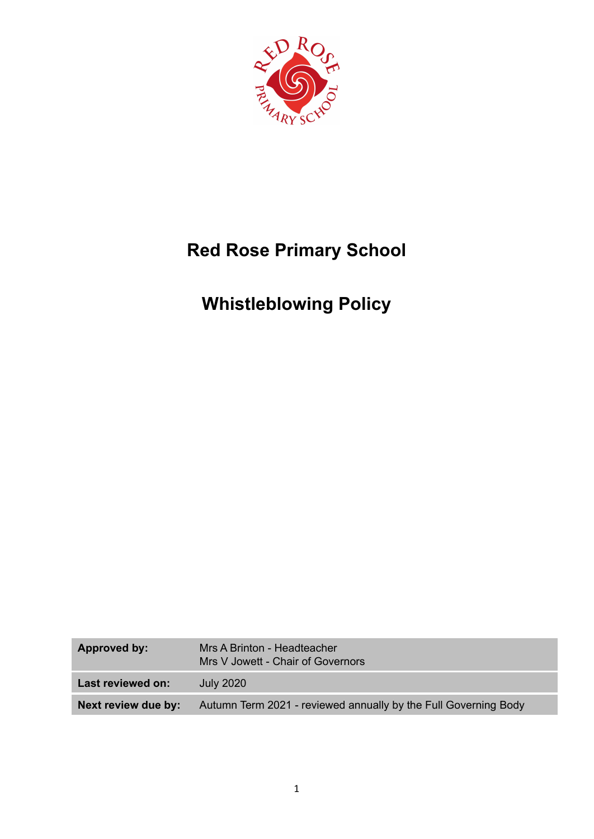

# **Red Rose Primary School**

# **Whistleblowing Policy**

| Approved by:        | Mrs A Brinton - Headteacher<br>Mrs V Jowett - Chair of Governors |
|---------------------|------------------------------------------------------------------|
| Last reviewed on:   | July 2020                                                        |
| Next review due by: | Autumn Term 2021 - reviewed annually by the Full Governing Body  |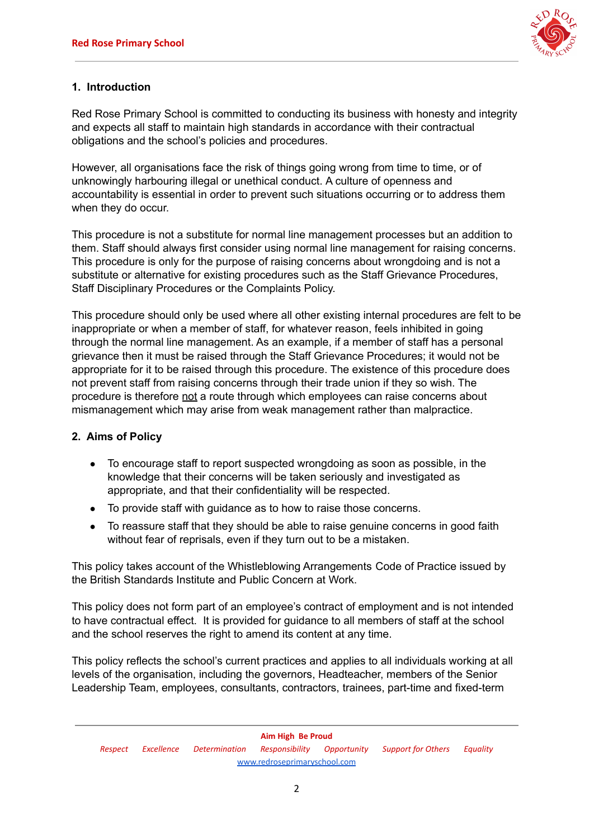

# **1. Introduction**

Red Rose Primary School is committed to conducting its business with honesty and integrity and expects all staff to maintain high standards in accordance with their contractual obligations and the school's policies and procedures.

However, all organisations face the risk of things going wrong from time to time, or of unknowingly harbouring illegal or unethical conduct. A culture of openness and accountability is essential in order to prevent such situations occurring or to address them when they do occur.

This procedure is not a substitute for normal line management processes but an addition to them. Staff should always first consider using normal line management for raising concerns. This procedure is only for the purpose of raising concerns about wrongdoing and is not a substitute or alternative for existing procedures such as the Staff Grievance Procedures, Staff Disciplinary Procedures or the Complaints Policy.

This procedure should only be used where all other existing internal procedures are felt to be inappropriate or when a member of staff, for whatever reason, feels inhibited in going through the normal line management. As an example, if a member of staff has a personal grievance then it must be raised through the Staff Grievance Procedures; it would not be appropriate for it to be raised through this procedure. The existence of this procedure does not prevent staff from raising concerns through their trade union if they so wish. The procedure is therefore not a route through which employees can raise concerns about mismanagement which may arise from weak management rather than malpractice.

# **2. Aims of Policy**

- To encourage staff to report suspected wrongdoing as soon as possible, in the knowledge that their concerns will be taken seriously and investigated as appropriate, and that their confidentiality will be respected.
- To provide staff with guidance as to how to raise those concerns.
- To reassure staff that they should be able to raise genuine concerns in good faith without fear of reprisals, even if they turn out to be a mistaken.

This policy takes account of the Whistleblowing Arrangements Code of Practice issued by the British Standards Institute and Public Concern at Work.

This policy does not form part of an employee's contract of employment and is not intended to have contractual effect. It is provided for guidance to all members of staff at the school and the school reserves the right to amend its content at any time.

This policy reflects the school's current practices and applies to all individuals working at all levels of the organisation, including the governors, Headteacher, members of the Senior Leadership Team, employees, consultants, contractors, trainees, part-time and fixed-term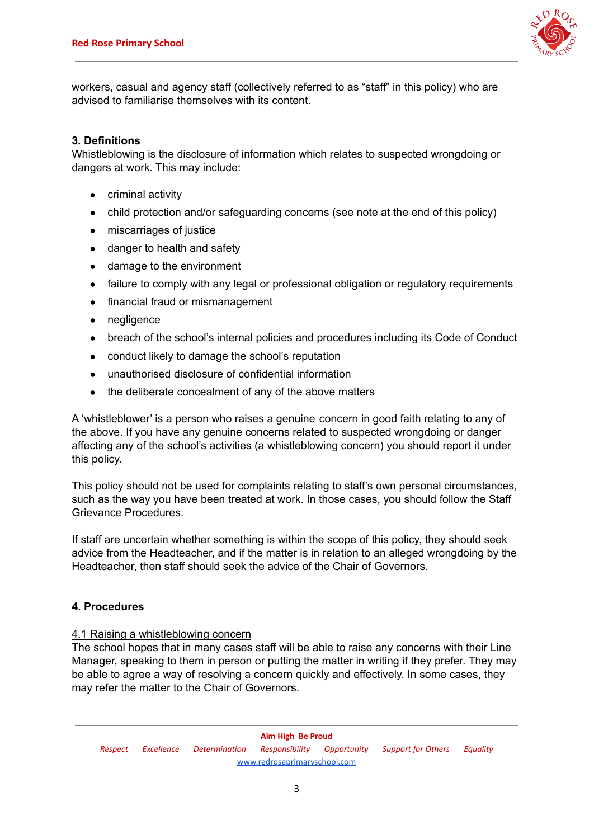

workers, casual and agency staff (collectively referred to as "staff" in this policy) who are advised to familiarise themselves with its content.

#### **3. Definitions**

Whistleblowing is the disclosure of information which relates to suspected wrongdoing or dangers at work. This may include:

- criminal activity
- child protection and/or safeguarding concerns (see note at the end of this policy)
- miscarriages of justice
- danger to health and safety
- damage to the environment
- failure to comply with any legal or professional obligation or regulatory requirements
- financial fraud or mismanagement
- negligence
- breach of the school's internal policies and procedures including its Code of Conduct
- conduct likely to damage the school's reputation
- unauthorised disclosure of confidential information
- the deliberate concealment of any of the above matters

A 'whistleblower' is a person who raises a genuine concern in good faith relating to any of the above. If you have any genuine concerns related to suspected wrongdoing or danger affecting any of the school's activities (a whistleblowing concern) you should report it under this policy.

This policy should not be used for complaints relating to staff's own personal circumstances, such as the way you have been treated at work. In those cases, you should follow the Staff Grievance Procedures.

If staff are uncertain whether something is within the scope of this policy, they should seek advice from the Headteacher, and if the matter is in relation to an alleged wrongdoing by the Headteacher, then staff should seek the advice of the Chair of Governors.

#### **4. Procedures**

#### 4.1 Raising a whistleblowing concern

The school hopes that in many cases staff will be able to raise any concerns with their Line Manager, speaking to them in person or putting the matter in writing if they prefer. They may be able to agree a way of resolving a concern quickly and effectively. In some cases, they may refer the matter to the Chair of Governors.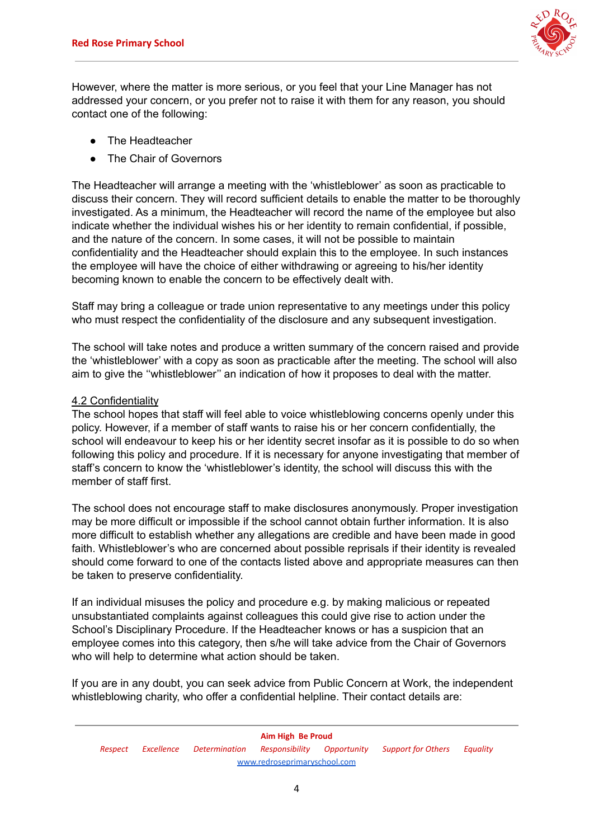

However, where the matter is more serious, or you feel that your Line Manager has not addressed your concern, or you prefer not to raise it with them for any reason, you should contact one of the following:

- The Headteacher
- The Chair of Governors

The Headteacher will arrange a meeting with the 'whistleblower' as soon as practicable to discuss their concern. They will record sufficient details to enable the matter to be thoroughly investigated. As a minimum, the Headteacher will record the name of the employee but also indicate whether the individual wishes his or her identity to remain confidential, if possible, and the nature of the concern. In some cases, it will not be possible to maintain confidentiality and the Headteacher should explain this to the employee. In such instances the employee will have the choice of either withdrawing or agreeing to his/her identity becoming known to enable the concern to be effectively dealt with.

Staff may bring a colleague or trade union representative to any meetings under this policy who must respect the confidentiality of the disclosure and any subsequent investigation.

The school will take notes and produce a written summary of the concern raised and provide the 'whistleblower' with a copy as soon as practicable after the meeting. The school will also aim to give the ''whistleblower'' an indication of how it proposes to deal with the matter.

# 4.2 Confidentiality

The school hopes that staff will feel able to voice whistleblowing concerns openly under this policy. However, if a member of staff wants to raise his or her concern confidentially, the school will endeavour to keep his or her identity secret insofar as it is possible to do so when following this policy and procedure. If it is necessary for anyone investigating that member of staff's concern to know the 'whistleblower's identity, the school will discuss this with the member of staff first.

The school does not encourage staff to make disclosures anonymously. Proper investigation may be more difficult or impossible if the school cannot obtain further information. It is also more difficult to establish whether any allegations are credible and have been made in good faith. Whistleblower's who are concerned about possible reprisals if their identity is revealed should come forward to one of the contacts listed above and appropriate measures can then be taken to preserve confidentiality.

If an individual misuses the policy and procedure e.g. by making malicious or repeated unsubstantiated complaints against colleagues this could give rise to action under the School's Disciplinary Procedure. If the Headteacher knows or has a suspicion that an employee comes into this category, then s/he will take advice from the Chair of Governors who will help to determine what action should be taken.

If you are in any doubt, you can seek advice from Public Concern at Work, the independent whistleblowing charity, who offer a confidential helpline. Their contact details are: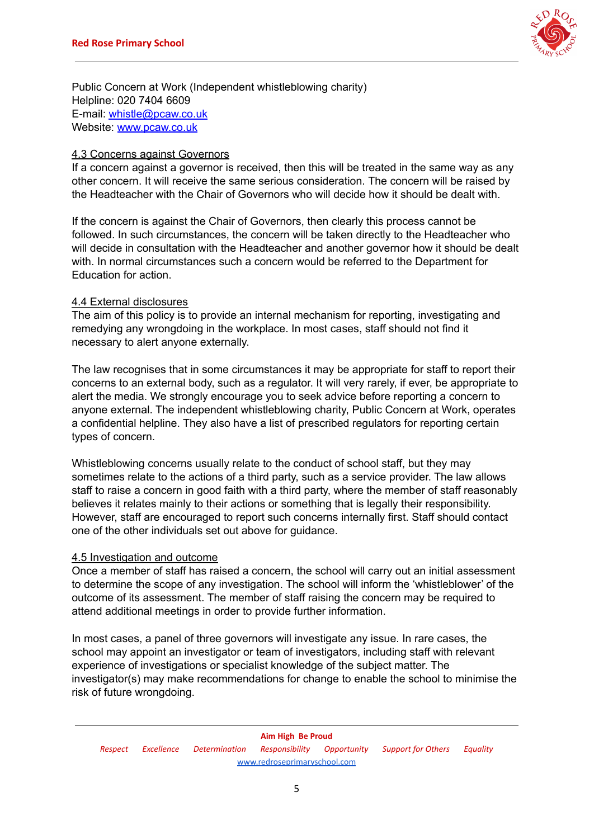

Public Concern at Work (Independent whistleblowing charity) Helpline: 020 7404 6609 E-mail: [whistle@pcaw.co.uk](mailto:whistle@pcaw.co.uk) Website: [www.pcaw.co.uk](http://www.pcaw.co.uk/)

#### 4.3 Concerns against Governors

If a concern against a governor is received, then this will be treated in the same way as any other concern. It will receive the same serious consideration. The concern will be raised by the Headteacher with the Chair of Governors who will decide how it should be dealt with.

If the concern is against the Chair of Governors, then clearly this process cannot be followed. In such circumstances, the concern will be taken directly to the Headteacher who will decide in consultation with the Headteacher and another governor how it should be dealt with. In normal circumstances such a concern would be referred to the Department for Education for action.

#### 4.4 External disclosures

The aim of this policy is to provide an internal mechanism for reporting, investigating and remedying any wrongdoing in the workplace. In most cases, staff should not find it necessary to alert anyone externally.

The law recognises that in some circumstances it may be appropriate for staff to report their concerns to an external body, such as a regulator. It will very rarely, if ever, be appropriate to alert the media. We strongly encourage you to seek advice before reporting a concern to anyone external. The independent whistleblowing charity, Public Concern at Work, operates a confidential helpline. They also have a list of prescribed regulators for reporting certain types of concern.

Whistleblowing concerns usually relate to the conduct of school staff, but they may sometimes relate to the actions of a third party, such as a service provider. The law allows staff to raise a concern in good faith with a third party, where the member of staff reasonably believes it relates mainly to their actions or something that is legally their responsibility. However, staff are encouraged to report such concerns internally first. Staff should contact one of the other individuals set out above for guidance.

#### 4.5 Investigation and outcome

Once a member of staff has raised a concern, the school will carry out an initial assessment to determine the scope of any investigation. The school will inform the 'whistleblower' of the outcome of its assessment. The member of staff raising the concern may be required to attend additional meetings in order to provide further information.

In most cases, a panel of three governors will investigate any issue. In rare cases, the school may appoint an investigator or team of investigators, including staff with relevant experience of investigations or specialist knowledge of the subject matter. The investigator(s) may make recommendations for change to enable the school to minimise the risk of future wrongdoing.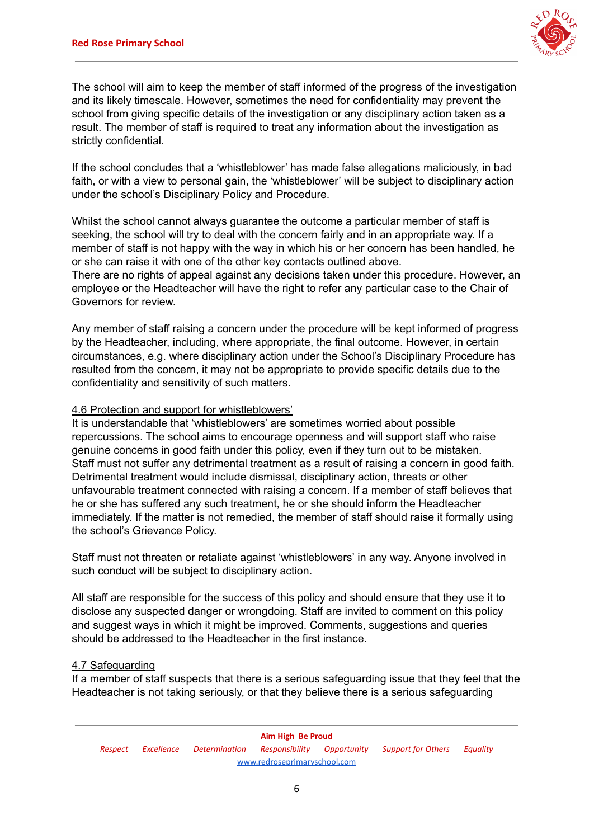

The school will aim to keep the member of staff informed of the progress of the investigation and its likely timescale. However, sometimes the need for confidentiality may prevent the school from giving specific details of the investigation or any disciplinary action taken as a result. The member of staff is required to treat any information about the investigation as strictly confidential.

If the school concludes that a 'whistleblower' has made false allegations maliciously, in bad faith, or with a view to personal gain, the 'whistleblower' will be subject to disciplinary action under the school's Disciplinary Policy and Procedure.

Whilst the school cannot always guarantee the outcome a particular member of staff is seeking, the school will try to deal with the concern fairly and in an appropriate way. If a member of staff is not happy with the way in which his or her concern has been handled, he or she can raise it with one of the other key contacts outlined above.

There are no rights of appeal against any decisions taken under this procedure. However, an employee or the Headteacher will have the right to refer any particular case to the Chair of Governors for review.

Any member of staff raising a concern under the procedure will be kept informed of progress by the Headteacher, including, where appropriate, the final outcome. However, in certain circumstances, e.g. where disciplinary action under the School's Disciplinary Procedure has resulted from the concern, it may not be appropriate to provide specific details due to the confidentiality and sensitivity of such matters.

# 4.6 Protection and support for whistleblowers'

It is understandable that 'whistleblowers' are sometimes worried about possible repercussions. The school aims to encourage openness and will support staff who raise genuine concerns in good faith under this policy, even if they turn out to be mistaken. Staff must not suffer any detrimental treatment as a result of raising a concern in good faith. Detrimental treatment would include dismissal, disciplinary action, threats or other unfavourable treatment connected with raising a concern. If a member of staff believes that he or she has suffered any such treatment, he or she should inform the Headteacher immediately. If the matter is not remedied, the member of staff should raise it formally using the school's Grievance Policy.

Staff must not threaten or retaliate against 'whistleblowers' in any way. Anyone involved in such conduct will be subject to disciplinary action.

All staff are responsible for the success of this policy and should ensure that they use it to disclose any suspected danger or wrongdoing. Staff are invited to comment on this policy and suggest ways in which it might be improved. Comments, suggestions and queries should be addressed to the Headteacher in the first instance.

# 4.7 Safeguarding

If a member of staff suspects that there is a serious safeguarding issue that they feel that the Headteacher is not taking seriously, or that they believe there is a serious safeguarding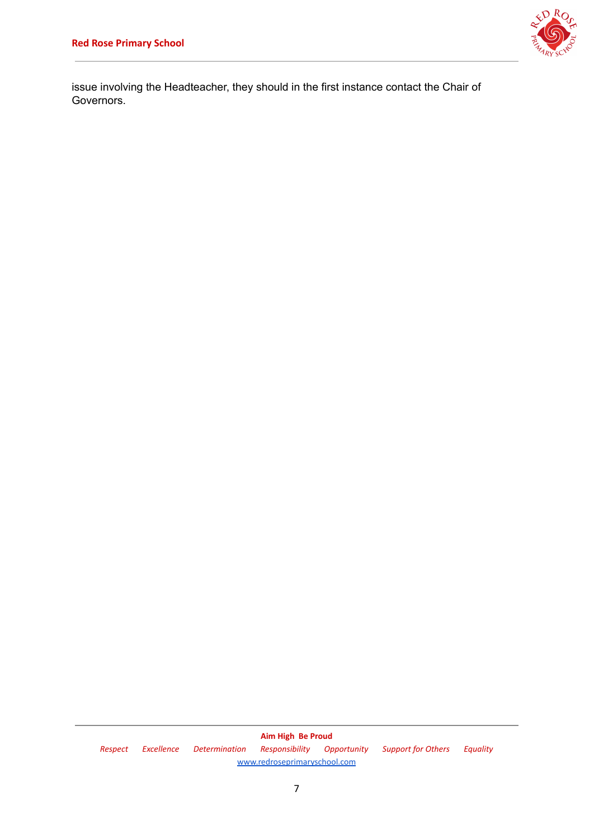

issue involving the Headteacher, they should in the first instance contact the Chair of Governors.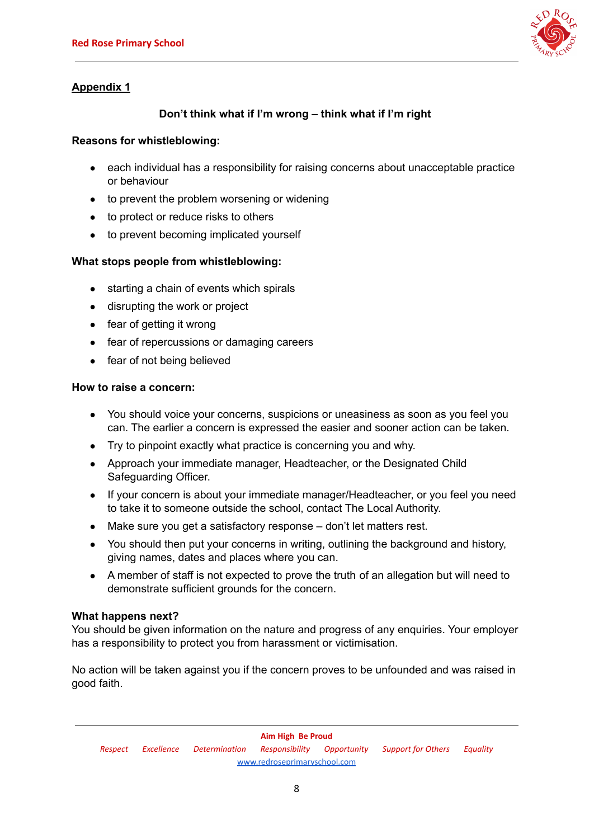

# **Appendix 1**

# **Don't think what if I'm wrong – think what if I'm right**

# **Reasons for whistleblowing:**

- each individual has a responsibility for raising concerns about unacceptable practice or behaviour
- to prevent the problem worsening or widening
- to protect or reduce risks to others
- to prevent becoming implicated yourself

# **What stops people from whistleblowing:**

- starting a chain of events which spirals
- disrupting the work or project
- fear of getting it wrong
- fear of repercussions or damaging careers
- fear of not being believed

# **How to raise a concern:**

- You should voice your concerns, suspicions or uneasiness as soon as you feel you can. The earlier a concern is expressed the easier and sooner action can be taken.
- Try to pinpoint exactly what practice is concerning you and why.
- Approach your immediate manager, Headteacher, or the Designated Child Safeguarding Officer.
- If your concern is about your immediate manager/Headteacher, or you feel you need to take it to someone outside the school, contact The Local Authority.
- Make sure you get a satisfactory response don't let matters rest.
- You should then put your concerns in writing, outlining the background and history, giving names, dates and places where you can.
- A member of staff is not expected to prove the truth of an allegation but will need to demonstrate sufficient grounds for the concern.

# **What happens next?**

You should be given information on the nature and progress of any enquiries. Your employer has a responsibility to protect you from harassment or victimisation.

No action will be taken against you if the concern proves to be unfounded and was raised in good faith.